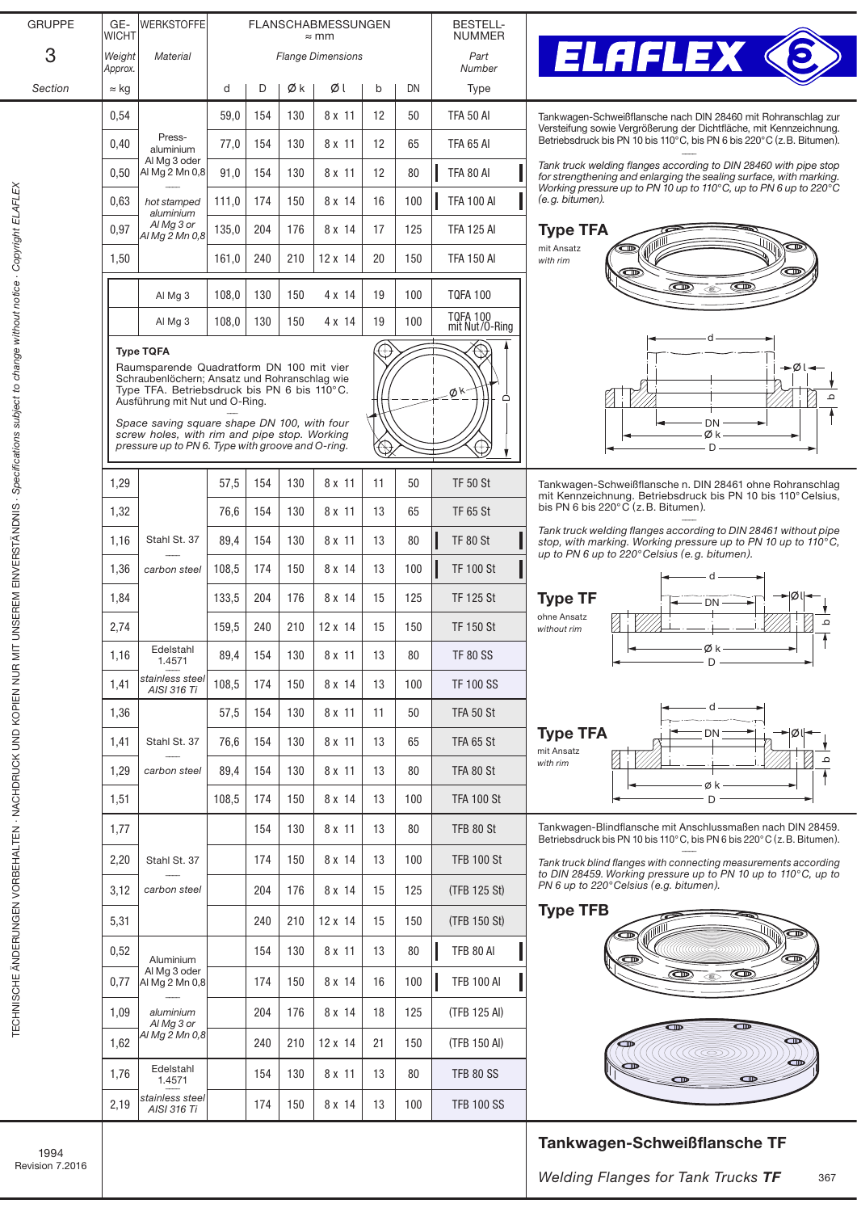| <b>GRUPPE</b> | GE-<br><b>WICHT</b> | <b>WERKSTOFFE</b>                                                                          | <b>BESTELL-</b><br><b>NUMMER</b> |                          |                |                |    |     |                                   |
|---------------|---------------------|--------------------------------------------------------------------------------------------|----------------------------------|--------------------------|----------------|----------------|----|-----|-----------------------------------|
| 3             | Weight<br>Approx.   | <b>Material</b>                                                                            |                                  | <b>Flange Dimensions</b> | Part<br>Number |                |    |     |                                   |
| Section       | $\approx$ kg        |                                                                                            | d                                | D                        | Øk             | ØΙ             | b  | DN  | Type                              |
|               | 0,54                |                                                                                            | 59,0                             | 154                      | 130            | 8 x 11         | 12 | 50  | <b>TFA 50 AI</b>                  |
|               | 0,40                | Press-<br>aluminium                                                                        | 77,0                             | 154                      | 130            | 8 x 11         | 12 | 65  | TFA 65 AI                         |
|               | 0.50                | Al Mg 3 oder<br>Al Mg 2 Mn 0,8<br>hot stamped<br>aluminium<br>Al Mg 3 or<br>Al Mg 2 Mn 0,8 | 91,0                             | 154                      | 130            | 8 x 11         | 12 | 80  | <b>TFA 80 AI</b>                  |
|               | 0,63<br>0,97        |                                                                                            | 111,0                            | 174                      | 150            | 8 x 14         | 16 | 100 | <b>TFA 100 AI</b>                 |
|               |                     |                                                                                            | 135,0                            | 204                      | 176            | 8 x 14         | 17 | 125 | TFA 125 AI                        |
|               | 1,50                |                                                                                            | 161,0                            | 240                      | 210            | $12 \times 14$ | 20 | 150 | TFA 150 AI                        |
|               |                     | Al Mg 3                                                                                    | 108,0                            | 130                      | 150            | 4 x 14         | 19 | 100 | TQFA 100                          |
|               |                     |                                                                                            |                                  |                          |                |                |    |     |                                   |
|               |                     | Al Mg 3                                                                                    | 108,0                            | 130                      | 150            | $4 \times 14$  | 19 | 100 | <b>TQFA 100</b><br>mit Nut/O-Ring |
|               |                     |                                                                                            |                                  |                          |                |                |    |     |                                   |



TF 65 St

A SUE)

Tankwagen-Schweißflansche nach DIN 28460 mit Rohranschlag zur Versteifung sowie Vergrößerung der Dichtfläche, mit Kennzeichnung. Betriebsdruck bis PN 10 bis 110°C, bis PN 6 bis 220°C (z.B. Bitumen). ––––

*Tank truck weIding flanges according to DIN 28460 with pipe stop for strengthening and enlarging the sealing surface, with marking. Working pressure up to PN 10 up to 110°C, up to PN 6 up to 220°C (e.g. bitumen).*



TF 50 St Tankwagen-Schweißflansche n. DIN 28461 ohne Rohranschlag mit Kennzeichnung. Betriebsdruck bis PN 10 bis 110°Celsius, bis PN 6 bis 220°C (z.B. Bitumen). ––––

*Tank truck weIding flanges according to DIN 28461 without pipe stop, with marking. Working pressure up to PN 10 up to 110°C, up to PN 6 up to 220°Celsius (e.g. bitumen).*



154 130 8 x 11 13 80 TFB 80 St Tankwagen-Blindflansche mit Anschlussmaßen nach DIN 28459. Betriebsdruck bis PN 10 bis 110°C, bis PN 6 bis 220°C (z.B. Bitumen). ––––

> *Tank truck blind flanges with connecting measurements according to DIN 28459. Working pressure up to PN 10 up to 110°C, up to PN 6 up to 220°Celsius (e.g. bitumen).*

## Type TFB



## Tankwagen-Schweißflansche TF

| 0,97                                                                                                                                                                                                                                                                                                                                      | Al Mg 3 or<br>Al Mg 2 Mn 0,8 | 135,0 | 204 | 176 | 8 x 14         | 17 | 125 |  |  |
|-------------------------------------------------------------------------------------------------------------------------------------------------------------------------------------------------------------------------------------------------------------------------------------------------------------------------------------------|------------------------------|-------|-----|-----|----------------|----|-----|--|--|
| 1,50                                                                                                                                                                                                                                                                                                                                      |                              | 161,0 | 240 | 210 | $12 \times 14$ | 20 | 150 |  |  |
|                                                                                                                                                                                                                                                                                                                                           | Al Mg 3                      | 108,0 | 130 | 150 | 4 x 14         | 19 | 100 |  |  |
|                                                                                                                                                                                                                                                                                                                                           | Al Mg 3                      | 108,0 | 130 | 150 | $4 \times 14$  | 19 | 100 |  |  |
| Raumsparende Quadratform DN 100 mit vier<br>Schraubenlöchern; Ansatz und Rohranschlag wie<br>Type TFA. Betriebsdruck bis PN 6 bis 110 $^{\circ}$ C.<br>Ausführung mit Nut und O-Ring.<br>Space saving square shape DN 100, with four<br>screw holes, with rim and pipe stop. Working<br>pressure up to PN 6. Type with groove and O-ring. |                              |       |     |     |                |    |     |  |  |
| 1,29                                                                                                                                                                                                                                                                                                                                      |                              | 57,5  | 154 | 130 | 8 x 11         | 11 | 50  |  |  |
| 1,32                                                                                                                                                                                                                                                                                                                                      |                              | 76,6  | 154 | 130 | 8 x 11         | 13 | 65  |  |  |

––––

Stahl St. 37 ––––

–––– *carbon steel*

–––– *aluminium Al Mg 3 or Al Mg 2 Mn 0,8*

 $0,52$  Aluminium Al Mg 3 oder

 $1,76$  Edelstahl 1.4571 –––– *stainless steel AISI 316 Ti*

 $1.16$  Edelstahl 1.4571 –––– *stainless steel AISI 316 Ti*

1,36

1,77

1,16 | Stahl St. 37 | 89,4 | 154 | 130 | 8 x 11 | 13 | 80 | TF 80 St

1,36 | carbon steel | 108,5 | 174 | 150 | 8 x 14 | 13 | 100 |**||** TF 100 St

1,84 133,5 204 176 8 x 14 15 125 TF 125 St

2,74 159,5 240 210 12 x 14 15 150 TF 150 St

1,41 108,5 174 150 8 x 14 13 100 TF 100 SS

1,29 | carbon steel | 89,4 | 154 | 130 | 8 x 11 | 13 | 80 | TFA 80 St

1,51 108,5 174 150 8x 14 13 100 TFA 100 St

2,20 | Stahl St. 37 | | | | 174 | 150 | 8 x 14 | 13 | 100 | | TFB 100 St

3,12 204 176 8 x 14 15 125 (TFB 125 St)

5,31 240 210 12 x 14 15 150 (TFB 150 St)

Al Mg 2 Mn 0,8 0,77 174 150 8 x 14 16 100 TFB 100 Al

1,09 aluminium | 204 176 8 x 14 18 125 (TFB 125 AI)

1,62 240 210 12 x 14 21 150 (TFB 150 Al)

2,19  $\frac{\text{S}}{\text{AIS}} \frac{2}{316} \frac{7}{316}$  | 174 | 150 | 8 x 14 | 13 | 100 | TFB 100 SS

1,41 | Stahl St. 37 | 76,6 | 154 | 130 | 8 x 11 | 13 | 65 | TFA 65 St

 $89.4$  | 154 | 130 | 8 x 11 | 13 | 80 | TF 80 SS

57,5 | 154 | 130 | 8 x 11 | 11 | 50 | TFA 50 St

154 | 130 | 8 x 11 | 13 | 80 | TFB 80 Al

154 | 130 | 8 x 11 | 13 | 80 | TFB 80 SS